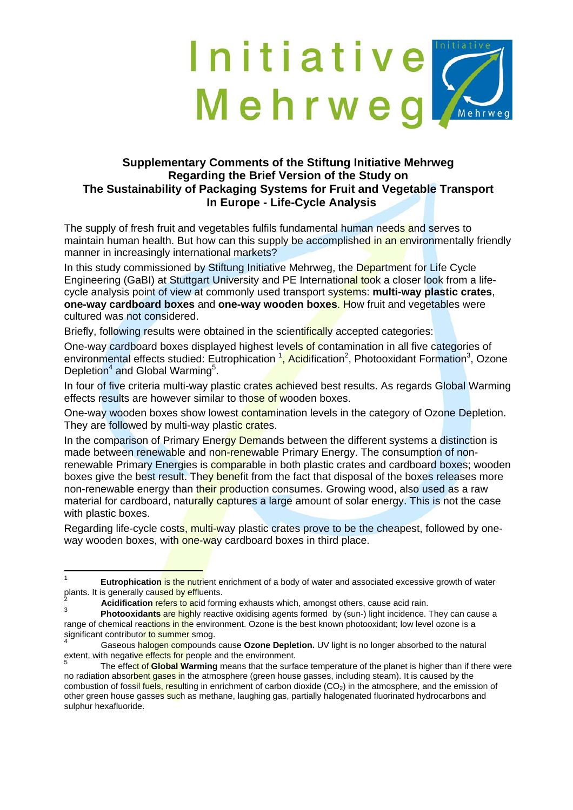## Initiative Mehrweg Mehrweg

## **Supplementary Comments of the Stiftung Initiative Mehrweg Regarding the Brief Version of the Study on The Sustainability of Packaging Systems for Fruit and Vegetable Transport In Europe - Life-Cycle Analysis**

The supply of fresh fruit and vegetables fulfils fundamental human needs and serves to maintain human health. But how can this supply be accomplished in an environmentally friendly manner in increasingly international markets?

In this study commissioned by Stiftung Initiative Mehrweg, the Department for Life Cycle Engineering (GaBI) at Stuttgart University and PE International took a closer look from a lifecycle analysis point of view at commonly used transport systems: **multi-way plastic crates**, **one-way cardboard boxes** and **one-way wooden boxes**. How fruit and vegetables were cultured was not considered.

Briefly, following results were obtained in the scientifically accepted categories:

One-way cardboard boxes displayed highest levels of contamination in all five categories of environmental effects studied: Eutrophication <sup>1</sup>, Acidification<sup>2</sup>, Photooxidant Formation<sup>3</sup>, Ozone Depletion<sup>4</sup> and Global Warming<sup>5</sup>.

In four of five criteria multi-way plastic crates achieved best results. As regards Global Warming effects results are however similar to those of wooden boxes.

One-way wooden boxes show lowest contamination levels in the category of Ozone Depletion. They are followed by multi-way plastic crates.

In the comparison of Primary Energy Demands between the different systems a distinction is made between renewable and non-renewable Primary Energy. The consumption of nonrenewable Primary Energies is **comparable** in both plastic crates and cardboard boxes; wooden boxes give the best result. They benefit from the fact that disposal of the boxes releases more non-renewable energy than their production consumes. Growing wood, also used as a raw material for cardboard, naturally captures a large amount of solar energy. This is not the case with plastic boxes.

Regarding life-cycle costs, multi-way plastic crates prove to be the cheapest, followed by oneway wooden boxes, with one-way cardboard boxes in third place.

 $\frac{1}{1}$  **Eutrophication** is the nutrient enrichment of a body of water and associated excessive growth of water plants. It is generally caused by effluents.<br><sup>2</sup>

Acidification refers to acid forming exhausts which, amongst others, cause acid rain.

<sup>3</sup> **Photooxidants** are highly reactive oxidising agents formed by (sun-) light incidence. They can cause a range of chemical reactions in the environment. Ozone is the best known photooxidant; low level ozone is a significant contributo<mark>r to summer</mark> smog.<br>4<br>Conservational primary compounds

Gaseous halogen compounds cause **Ozone Depletion.** UV light is no longer absorbed to the natural extent, with negative effects for people and the environment.<br><sup>5</sup><br>**5**<br>**1** 

The effect of **Global Warming** means that the surface temperature of the planet is higher than if there were no radiation absorbent gases in the atmosphere (green house gasses, including steam). It is caused by the combustion of fossil fuels, resulting in enrichment of carbon dioxide  $(CO<sub>2</sub>)$  in the atmosphere, and the emission of other green house gasses such as methane, laughing gas, partially halogenated fluorinated hydrocarbons and sulphur hexafluoride.